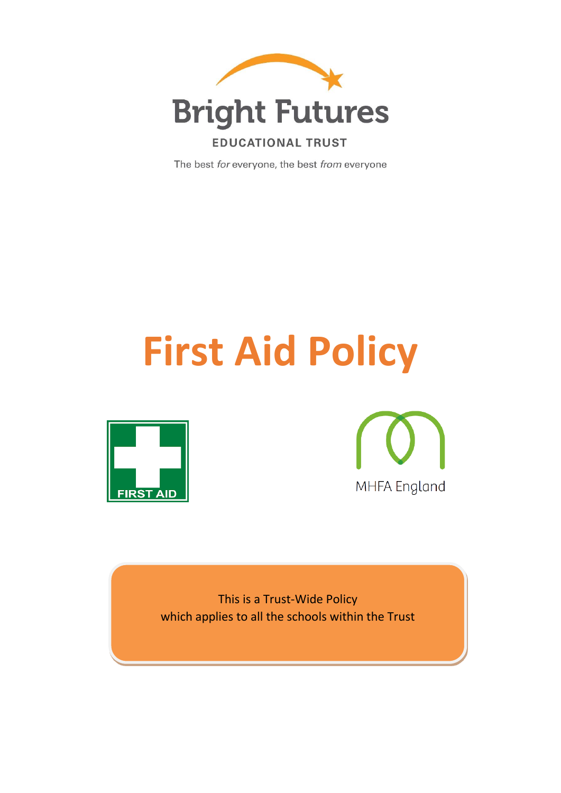

The best for everyone, the best from everyone

# **First Aid Policy**





This is a Trust-Wide Policy which applies to all the schools within the Trust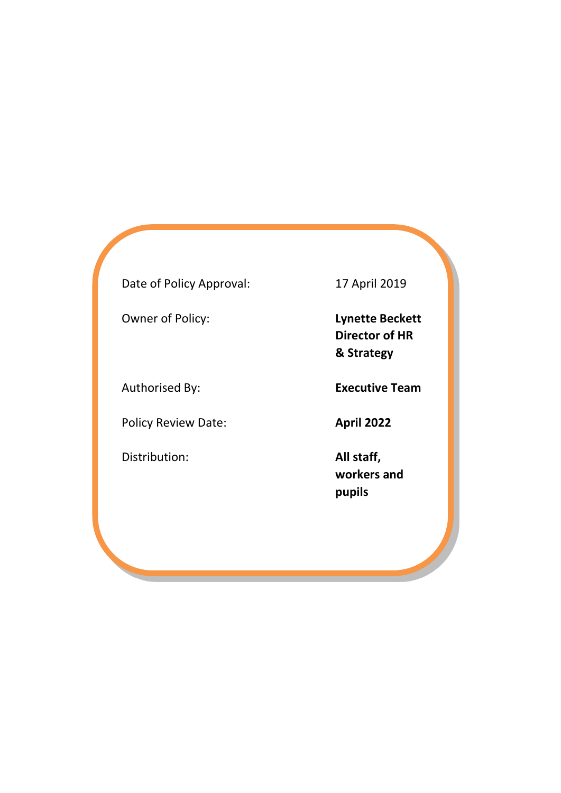# Date of Policy Approval: 17 April 2019

Owner of Policy: **Lynette Beckett**

Policy Review Date: **April 2022** 

Distribution: **All staff,** 

**Director of HR & Strategy**

Authorised By: **Executive Team**

**workers and pupils**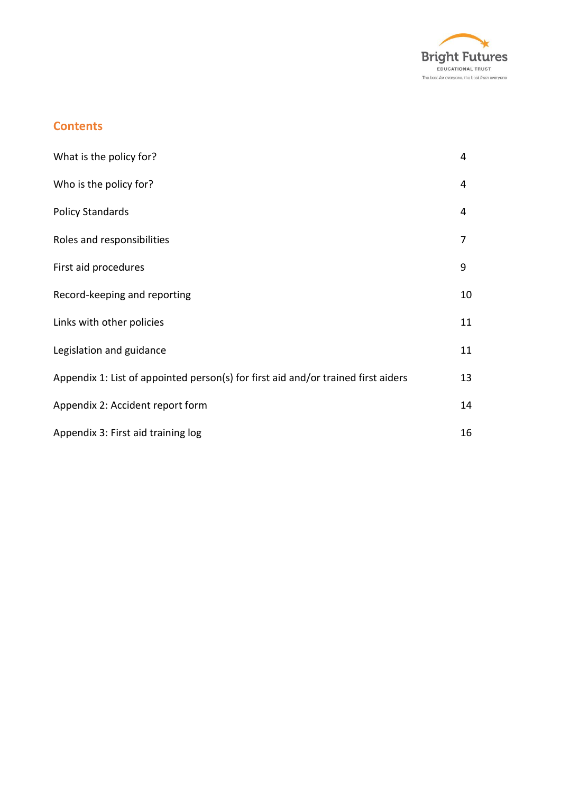

# **Contents**

| What is the policy for?                                                           | 4  |
|-----------------------------------------------------------------------------------|----|
| Who is the policy for?                                                            | 4  |
| <b>Policy Standards</b>                                                           | 4  |
| Roles and responsibilities                                                        | 7  |
| First aid procedures                                                              | 9  |
| Record-keeping and reporting                                                      | 10 |
| Links with other policies                                                         | 11 |
| Legislation and guidance                                                          | 11 |
| Appendix 1: List of appointed person(s) for first aid and/or trained first aiders | 13 |
| Appendix 2: Accident report form                                                  | 14 |
| Appendix 3: First aid training log                                                | 16 |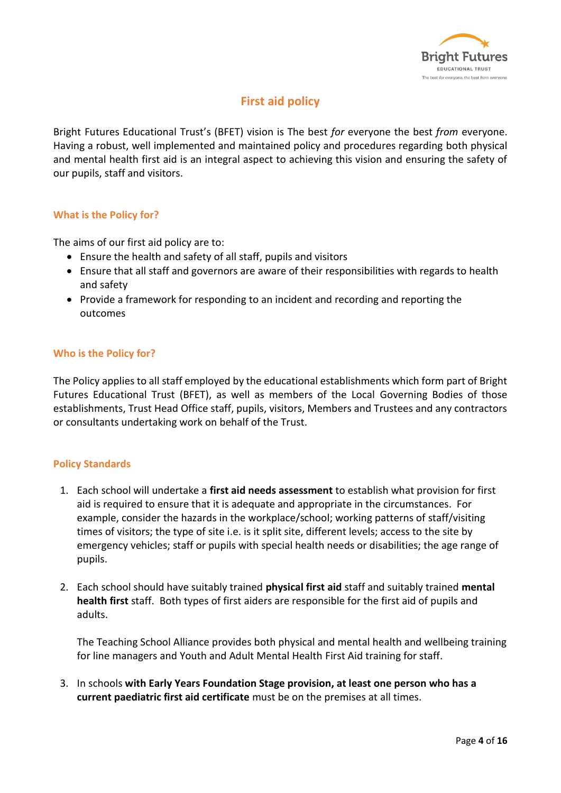

# **First aid policy**

Bright Futures Educational Trust's (BFET) vision is The best *for* everyone the best *from* everyone. Having a robust, well implemented and maintained policy and procedures regarding both physical and mental health first aid is an integral aspect to achieving this vision and ensuring the safety of our pupils, staff and visitors.

#### **What is the Policy for?**

The aims of our first aid policy are to:

- Ensure the health and safety of all staff, pupils and visitors
- Ensure that all staff and governors are aware of their responsibilities with regards to health and safety
- Provide a framework for responding to an incident and recording and reporting the outcomes

#### **Who is the Policy for?**

The Policy applies to all staff employed by the educational establishments which form part of Bright Futures Educational Trust (BFET), as well as members of the Local Governing Bodies of those establishments, Trust Head Office staff, pupils, visitors, Members and Trustees and any contractors or consultants undertaking work on behalf of the Trust.

#### **Policy Standards**

- 1. Each school will undertake a **first aid needs assessment** to establish what provision for first aid is required to ensure that it is adequate and appropriate in the circumstances. For example, consider the hazards in the workplace/school; working patterns of staff/visiting times of visitors; the type of site i.e. is it split site, different levels; access to the site by emergency vehicles; staff or pupils with special health needs or disabilities; the age range of pupils.
- 2. Each school should have suitably trained **physical first aid** staff and suitably trained **mental health first** staff. Both types of first aiders are responsible for the first aid of pupils and adults.

The Teaching School Alliance provides both physical and mental health and wellbeing training for line managers and Youth and Adult Mental Health First Aid training for staff.

3. In schools **with Early Years Foundation Stage provision, at least one person who has a current paediatric first aid certificate** must be on the premises at all times.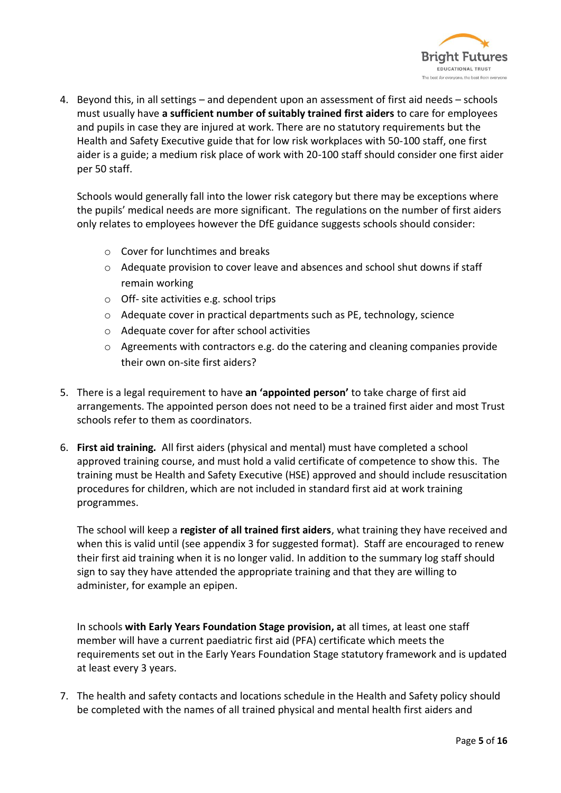

4. Beyond this, in all settings – and dependent upon an assessment of first aid needs – schools must usually have **a sufficient number of suitably trained first aiders** to care for employees and pupils in case they are injured at work. There are no statutory requirements but the Health and Safety Executive guide that for low risk workplaces with 50-100 staff, one first aider is a guide; a medium risk place of work with 20-100 staff should consider one first aider per 50 staff.

Schools would generally fall into the lower risk category but there may be exceptions where the pupils' medical needs are more significant. The regulations on the number of first aiders only relates to employees however the DfE guidance suggests schools should consider:

- o Cover for lunchtimes and breaks
- $\circ$  Adequate provision to cover leave and absences and school shut downs if staff remain working
- o Off- site activities e.g. school trips
- $\circ$  Adequate cover in practical departments such as PE, technology, science
- o Adequate cover for after school activities
- o Agreements with contractors e.g. do the catering and cleaning companies provide their own on-site first aiders?
- 5. There is a legal requirement to have **an 'appointed person'** to take charge of first aid arrangements. The appointed person does not need to be a trained first aider and most Trust schools refer to them as coordinators.
- 6. **First aid training***.* All first aiders (physical and mental) must have completed a school approved training course, and must hold a valid certificate of competence to show this. The training must be Health and Safety Executive (HSE) approved and should include resuscitation procedures for children, which are not included in standard first aid at work training programmes.

The school will keep a **register of all trained first aiders**, what training they have received and when this is valid until (see appendix 3 for suggested format). Staff are encouraged to renew their first aid training when it is no longer valid. In addition to the summary log staff should sign to say they have attended the appropriate training and that they are willing to administer, for example an epipen.

In schools **with Early Years Foundation Stage provision, a**t all times, at least one staff member will have a current paediatric first aid (PFA) certificate which meets the requirements set out in the Early Years Foundation Stage statutory framework and is updated at least every 3 years.

7. The health and safety contacts and locations schedule in the Health and Safety policy should be completed with the names of all trained physical and mental health first aiders and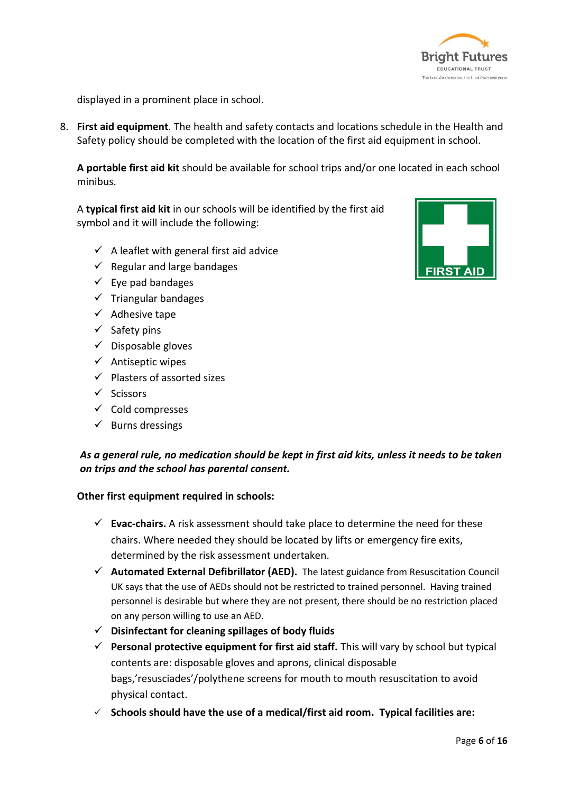

displayed in a prominent place in school.

8. **First aid equipment***.* The health and safety contacts and locations schedule in the Health and Safety policy should be completed with the location of the first aid equipment in school.

**A portable first aid kit** should be available for school trips and/or one located in each school minibus.

A **typical first aid kit** in our schools will be identified by the first aid symbol and it will include the following:

- $\checkmark$  A leaflet with general first aid advice
- $\checkmark$  Regular and large bandages
- $\checkmark$  Eye pad bandages
- $\checkmark$  Triangular bandages
- $\checkmark$  Adhesive tape
- $\checkmark$  Safety pins
- $\checkmark$  Disposable gloves
- $\checkmark$  Antiseptic wipes
- $\checkmark$  Plasters of assorted sizes
- $\checkmark$  Scissors
- $\checkmark$  Cold compresses
- $\checkmark$  Burns dressings

## *As a general rule, no medication should be kept in first aid kits, unless it needs to be taken on trips and the school has parental consent.*

#### **Other first equipment required in schools:**

- **Evac-chairs.** A risk assessment should take place to determine the need for these chairs. Where needed they should be located by lifts or emergency fire exits, determined by the risk assessment undertaken.
- **Automated External Defibrillator (AED).** The latest guidance from Resuscitation Council UK says that the use of AEDs should not be restricted to trained personnel. Having trained personnel is desirable but where they are not present, there should be no restriction placed on any person willing to use an AED.
- **Disinfectant for cleaning spillages of body fluids**
- **Personal protective equipment for first aid staff.** This will vary by school but typical contents are: disposable gloves and aprons, clinical disposable bags,'resusciades'/polythene screens for mouth to mouth resuscitation to avoid physical contact.
- **Schools should have the use of a medical/first aid room. Typical facilities are:**

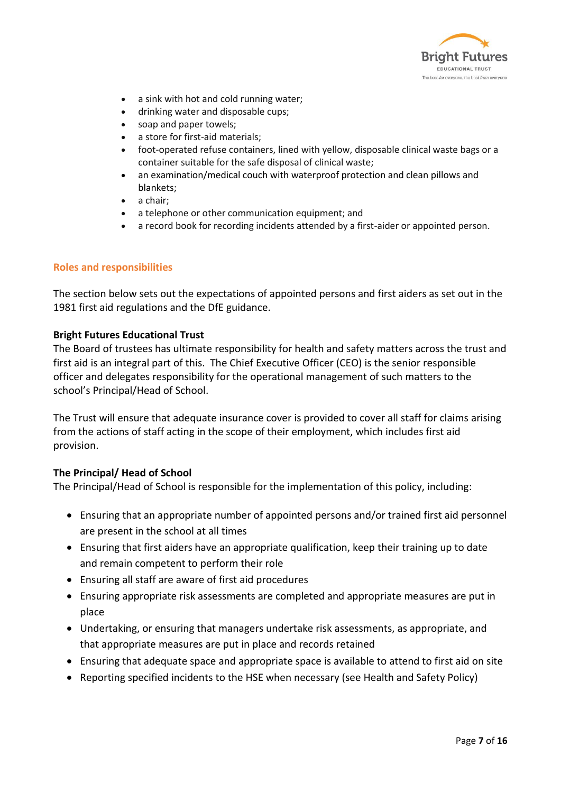

- a sink with hot and cold running water;
- drinking water and disposable cups;
- soap and paper towels;
- a store for first-aid materials;
- foot-operated refuse containers, lined with yellow, disposable clinical waste bags or a container suitable for the safe disposal of clinical waste;
- an examination/medical couch with waterproof protection and clean pillows and blankets;
- a chair;
- a telephone or other communication equipment; and
- a record book for recording incidents attended by a first-aider or appointed person.

#### **Roles and responsibilities**

The section below sets out the expectations of appointed persons and first aiders as set out in the 1981 first aid regulations and the DfE guidance.

#### **Bright Futures Educational Trust**

The Board of trustees has ultimate responsibility for health and safety matters across the trust and first aid is an integral part of this. The Chief Executive Officer (CEO) is the senior responsible officer and delegates responsibility for the operational management of such matters to the school's Principal/Head of School.

The Trust will ensure that adequate insurance cover is provided to cover all staff for claims arising from the actions of staff acting in the scope of their employment, which includes first aid provision.

#### **The Principal/ Head of School**

The Principal/Head of School is responsible for the implementation of this policy, including:

- Ensuring that an appropriate number of appointed persons and/or trained first aid personnel are present in the school at all times
- Ensuring that first aiders have an appropriate qualification, keep their training up to date and remain competent to perform their role
- Ensuring all staff are aware of first aid procedures
- Ensuring appropriate risk assessments are completed and appropriate measures are put in place
- Undertaking, or ensuring that managers undertake risk assessments, as appropriate, and that appropriate measures are put in place and records retained
- Ensuring that adequate space and appropriate space is available to attend to first aid on site
- Reporting specified incidents to the HSE when necessary (see Health and Safety Policy)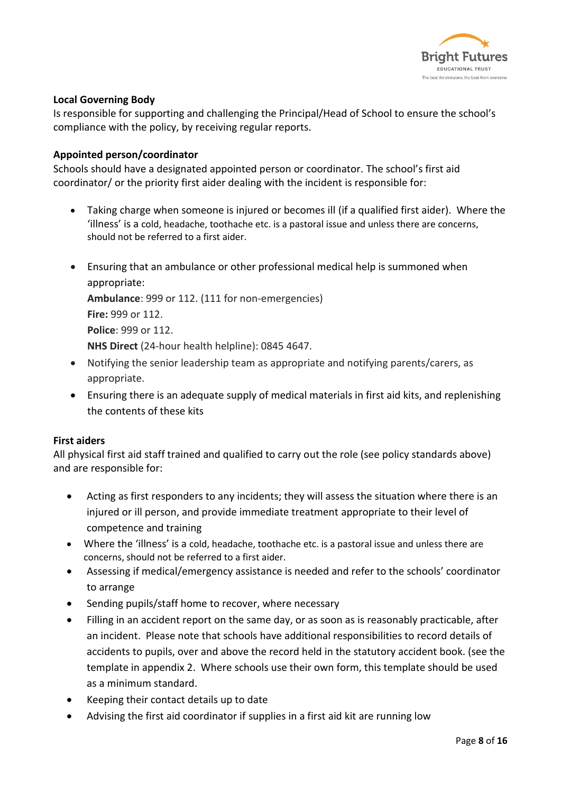

#### **Local Governing Body**

Is responsible for supporting and challenging the Principal/Head of School to ensure the school's compliance with the policy, by receiving regular reports.

#### **Appointed person/coordinator**

Schools should have a designated appointed person or coordinator. The school's first aid coordinator/ or the priority first aider dealing with the incident is responsible for:

- Taking charge when someone is injured or becomes ill (if a qualified first aider). Where the 'illness' is a cold, headache, toothache etc. is a pastoral issue and unless there are concerns, should not be referred to a first aider.
- Ensuring that an ambulance or other professional medical help is summoned when appropriate: **Ambulance**: 999 or 112. (111 for non-emergencies) **Fire:** 999 or 112. **Police**: 999 or 112.

**NHS Direct** (24-hour health helpline): 0845 4647.

- Notifying the senior leadership team as appropriate and notifying parents/carers, as appropriate.
- Ensuring there is an adequate supply of medical materials in first aid kits, and replenishing the contents of these kits

#### **First aiders**

All physical first aid staff trained and qualified to carry out the role (see policy standards above) and are responsible for:

- Acting as first responders to any incidents; they will assess the situation where there is an injured or ill person, and provide immediate treatment appropriate to their level of competence and training
- Where the 'illness' is a cold, headache, toothache etc. is a pastoral issue and unless there are concerns, should not be referred to a first aider.
- Assessing if medical/emergency assistance is needed and refer to the schools' coordinator to arrange
- Sending pupils/staff home to recover, where necessary
- Filling in an accident report on the same day, or as soon as is reasonably practicable, after an incident. Please note that schools have additional responsibilities to record details of accidents to pupils, over and above the record held in the statutory accident book. (see the template in appendix 2. Where schools use their own form, this template should be used as a minimum standard.
- Keeping their contact details up to date
- Advising the first aid coordinator if supplies in a first aid kit are running low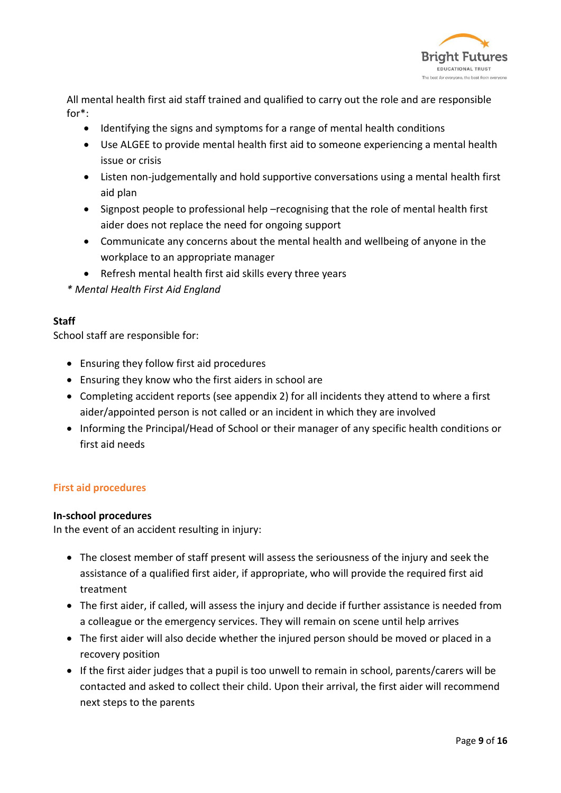

All mental health first aid staff trained and qualified to carry out the role and are responsible for\*:

- Identifying the signs and symptoms for a range of mental health conditions
- Use ALGEE to provide mental health first aid to someone experiencing a mental health issue or crisis
- Listen non-judgementally and hold supportive conversations using a mental health first aid plan
- Signpost people to professional help –recognising that the role of mental health first aider does not replace the need for ongoing support
- Communicate any concerns about the mental health and wellbeing of anyone in the workplace to an appropriate manager
- Refresh mental health first aid skills every three years

*\* Mental Health First Aid England*

#### **Staff**

School staff are responsible for:

- Ensuring they follow first aid procedures
- Ensuring they know who the first aiders in school are
- Completing accident reports (see appendix 2) for all incidents they attend to where a first aider/appointed person is not called or an incident in which they are involved
- Informing the Principal/Head of School or their manager of any specific health conditions or first aid needs

#### **First aid procedures**

#### **In-school procedures**

In the event of an accident resulting in injury:

- The closest member of staff present will assess the seriousness of the injury and seek the assistance of a qualified first aider, if appropriate, who will provide the required first aid treatment
- The first aider, if called, will assess the injury and decide if further assistance is needed from a colleague or the emergency services. They will remain on scene until help arrives
- The first aider will also decide whether the injured person should be moved or placed in a recovery position
- If the first aider judges that a pupil is too unwell to remain in school, parents/carers will be contacted and asked to collect their child. Upon their arrival, the first aider will recommend next steps to the parents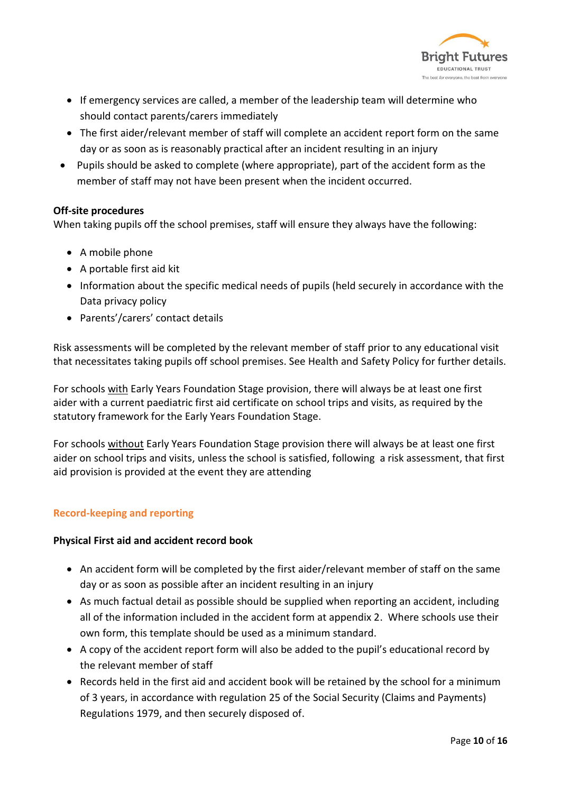

- If emergency services are called, a member of the leadership team will determine who should contact parents/carers immediately
- The first aider/relevant member of staff will complete an accident report form on the same day or as soon as is reasonably practical after an incident resulting in an injury
- Pupils should be asked to complete (where appropriate), part of the accident form as the member of staff may not have been present when the incident occurred.

#### **Off-site procedures**

When taking pupils off the school premises, staff will ensure they always have the following:

- A mobile phone
- A portable first aid kit
- Information about the specific medical needs of pupils (held securely in accordance with the Data privacy policy
- Parents'/carers' contact details

Risk assessments will be completed by the relevant member of staff prior to any educational visit that necessitates taking pupils off school premises. See Health and Safety Policy for further details.

For schools with Early Years Foundation Stage provision, there will always be at least one first aider with a current paediatric first aid certificate on school trips and visits, as required by the statutory framework for the Early Years Foundation Stage.

For schools without Early Years Foundation Stage provision there will always be at least one first aider on school trips and visits, unless the school is satisfied, following a risk assessment, that first aid provision is provided at the event they are attending

## **Record-keeping and reporting**

#### **Physical First aid and accident record book**

- An accident form will be completed by the first aider/relevant member of staff on the same day or as soon as possible after an incident resulting in an injury
- As much factual detail as possible should be supplied when reporting an accident, including all of the information included in the accident form at appendix 2. Where schools use their own form, this template should be used as a minimum standard.
- A copy of the accident report form will also be added to the pupil's educational record by the relevant member of staff
- Records held in the first aid and accident book will be retained by the school for a minimum of 3 years, in accordance with regulation 25 of the Social Security (Claims and Payments) Regulations 1979, and then securely disposed of.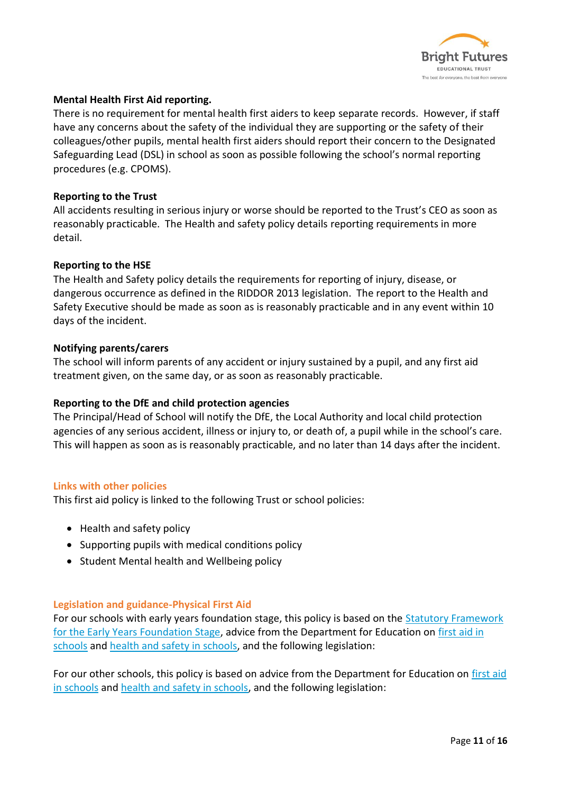

#### **Mental Health First Aid reporting.**

There is no requirement for mental health first aiders to keep separate records. However, if staff have any concerns about the safety of the individual they are supporting or the safety of their colleagues/other pupils, mental health first aiders should report their concern to the Designated Safeguarding Lead (DSL) in school as soon as possible following the school's normal reporting procedures (e.g. CPOMS).

#### **Reporting to the Trust**

All accidents resulting in serious injury or worse should be reported to the Trust's CEO as soon as reasonably practicable. The Health and safety policy details reporting requirements in more detail.

#### **Reporting to the HSE**

The Health and Safety policy details the requirements for reporting of injury, disease, or dangerous occurrence as defined in the RIDDOR 2013 legislation. The report to the Health and Safety Executive should be made as soon as is reasonably practicable and in any event within 10 days of the incident.

#### **Notifying parents/carers**

The school will inform parents of any accident or injury sustained by a pupil, and any first aid treatment given, on the same day, or as soon as reasonably practicable.

#### **Reporting to the DfE and child protection agencies**

The Principal/Head of School will notify the DfE, the Local Authority and local child protection agencies of any serious accident, illness or injury to, or death of, a pupil while in the school's care. This will happen as soon as is reasonably practicable, and no later than 14 days after the incident.

#### **Links with other policies**

This first aid policy is linked to the following Trust or school policies:

- Health and safety policy
- Supporting pupils with medical conditions policy
- Student Mental health and Wellbeing policy

#### **Legislation and guidance-Physical First Aid**

For our schools with early years foundation stage, this policy is based on the [Statutory Framework](https://www.gov.uk/government/uploads/system/uploads/attachment_data/file/596629/EYFS_STATUTORY_FRAMEWORK_2017.pdf)  [for the Early Years Foundation Stage,](https://www.gov.uk/government/uploads/system/uploads/attachment_data/file/596629/EYFS_STATUTORY_FRAMEWORK_2017.pdf) advice from the Department for Education on [first aid in](https://www.gov.uk/government/publications/first-aid-in-schools)  [schools](https://www.gov.uk/government/publications/first-aid-in-schools) and [health and safety in schools,](https://www.gov.uk/government/publications/health-and-safety-advice-for-schools) and the following legislation:

For our other schools, this policy is based on advice from the Department for Education on [first aid](https://www.gov.uk/government/publications/first-aid-in-schools)  [in schools](https://www.gov.uk/government/publications/first-aid-in-schools) and [health and safety in schools,](https://www.gov.uk/government/publications/health-and-safety-advice-for-schools) and the following legislation: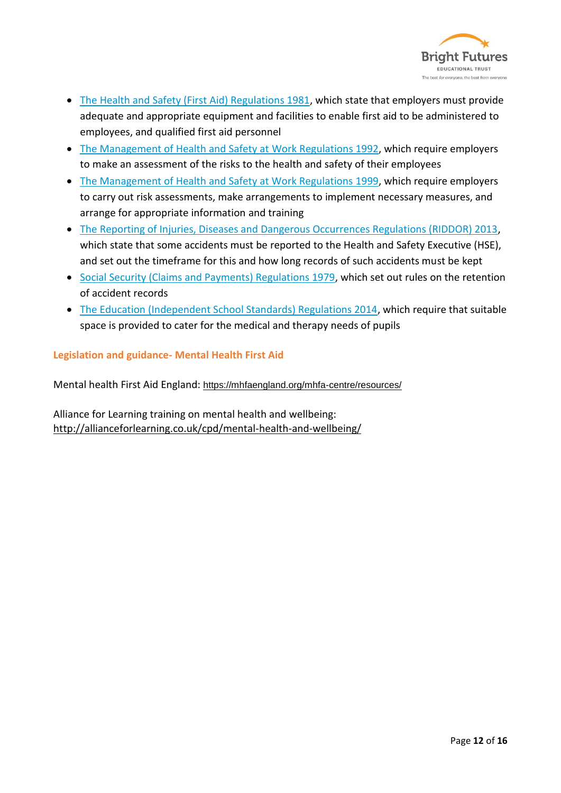

- [The Health and Safety \(First Aid\) Regulations 1981,](http://www.legislation.gov.uk/uksi/1981/917/regulation/3/made) which state that employers must provide adequate and appropriate equipment and facilities to enable first aid to be administered to employees, and qualified first aid personnel
- [The Management of Health and Safety at Work Regulations 1992,](http://www.legislation.gov.uk/uksi/1992/2051/regulation/3/made) which require employers to make an assessment of the risks to the health and safety of their employees
- [The Management of Health and Safety at Work Regulations](http://www.legislation.gov.uk/uksi/1999/3242/contents/made) 1999, which require employers to carry out risk assessments, make arrangements to implement necessary measures, and arrange for appropriate information and training
- [The Reporting of Injuries, Diseases and Dangerous Occurrences Regulations \(RIDDOR\) 2013,](http://www.legislation.gov.uk/uksi/2013/1471/schedule/1/paragraph/1/made) which state that some accidents must be reported to the Health and Safety Executive (HSE), and set out the timeframe for this and how long records of such accidents must be kept
- [Social Security \(Claims and Payments\) Regulations 1979,](http://www.legislation.gov.uk/uksi/1979/628) which set out rules on the retention of accident records
- [The Education \(Independent School Standards\) Regulations 2014,](http://www.legislation.gov.uk/uksi/2014/3283/schedule/made) which require that suitable space is provided to cater for the medical and therapy needs of pupils

**Legislation and guidance- Mental Health First Aid**

Mental health First Aid England: <https://mhfaengland.org/mhfa-centre/resources/>

Alliance for Learning training on mental health and wellbeing: <http://allianceforlearning.co.uk/cpd/mental-health-and-wellbeing/>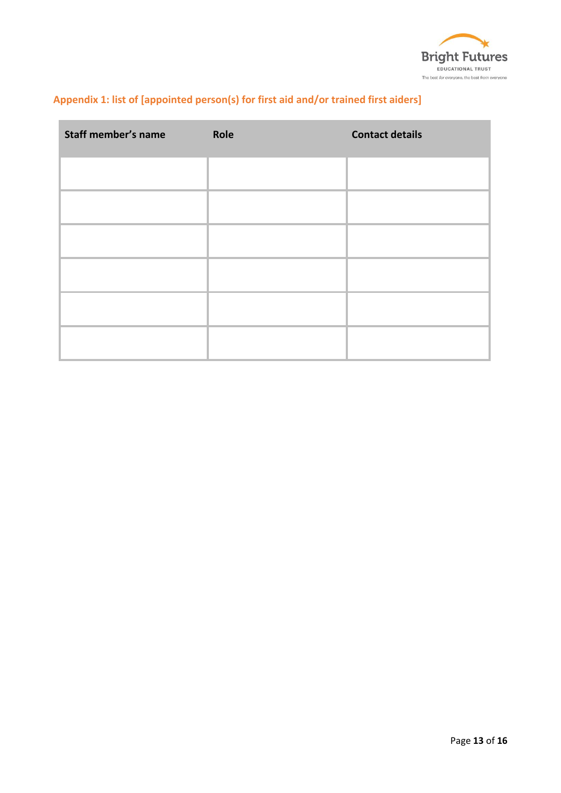

# **Appendix 1: list of [appointed person(s) for first aid and/or trained first aiders]**

| <b>Staff member's name</b> | Role | <b>Contact details</b> |  |
|----------------------------|------|------------------------|--|
|                            |      |                        |  |
|                            |      |                        |  |
|                            |      |                        |  |
|                            |      |                        |  |
|                            |      |                        |  |
|                            |      |                        |  |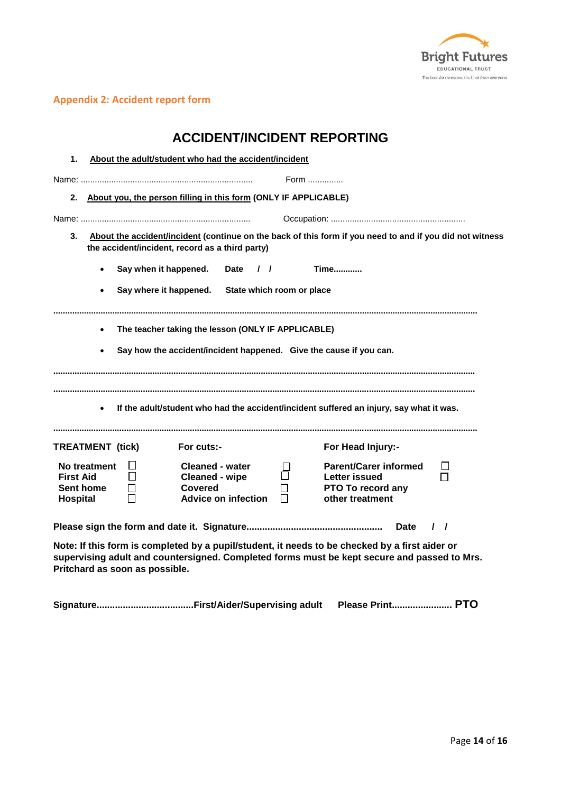

## **Appendix 2: Accident report form**

| <b>ACCIDENT/INCIDENT REPORTING</b>                                                                                                                                                                                                                                                               |  |  |  |  |
|--------------------------------------------------------------------------------------------------------------------------------------------------------------------------------------------------------------------------------------------------------------------------------------------------|--|--|--|--|
| 1.<br>About the adult/student who had the accident/incident                                                                                                                                                                                                                                      |  |  |  |  |
| Form                                                                                                                                                                                                                                                                                             |  |  |  |  |
| 2. About you, the person filling in this form (ONLY IF APPLICABLE)                                                                                                                                                                                                                               |  |  |  |  |
|                                                                                                                                                                                                                                                                                                  |  |  |  |  |
| 3.<br>About the accident/incident (continue on the back of this form if you need to and if you did not witness<br>the accident/incident, record as a third party)                                                                                                                                |  |  |  |  |
| Say when it happened.<br><b>Time</b><br><b>Date</b><br>$\sqrt{ }$<br>$\bullet$                                                                                                                                                                                                                   |  |  |  |  |
| Say where it happened. State which room or place<br>$\bullet$                                                                                                                                                                                                                                    |  |  |  |  |
|                                                                                                                                                                                                                                                                                                  |  |  |  |  |
| The teacher taking the lesson (ONLY IF APPLICABLE)<br>$\bullet$                                                                                                                                                                                                                                  |  |  |  |  |
| Say how the accident/incident happened. Give the cause if you can.<br>$\bullet$                                                                                                                                                                                                                  |  |  |  |  |
| If the adult/student who had the accident/incident suffered an injury, say what it was.                                                                                                                                                                                                          |  |  |  |  |
| For cuts:-<br>For Head Injury:-<br><b>TREATMENT</b> (tick)                                                                                                                                                                                                                                       |  |  |  |  |
| <b>Parent/Carer informed</b><br>No treatment<br><b>Cleaned - water</b><br>⊔<br>П<br><b>First Aid</b><br>$\mathsf{L}$<br><b>Cleaned - wipe</b><br><b>Letter issued</b><br>Sent home<br><b>Covered</b><br>PTO To record any<br>$\Box$<br><b>Advice on infection</b><br>other treatment<br>Hospital |  |  |  |  |
| <b>Date</b><br>$\prime$ $\prime$                                                                                                                                                                                                                                                                 |  |  |  |  |
| Note: If this form is completed by a pupil/student, it needs to be checked by a first aider or<br>supervising adult and countersigned. Completed forms must be kept secure and passed to Mrs.<br>Pritchard as soon as possible.                                                                  |  |  |  |  |

**Signature.....................................First/Aider/Supervising adult Please Print....................... PTO**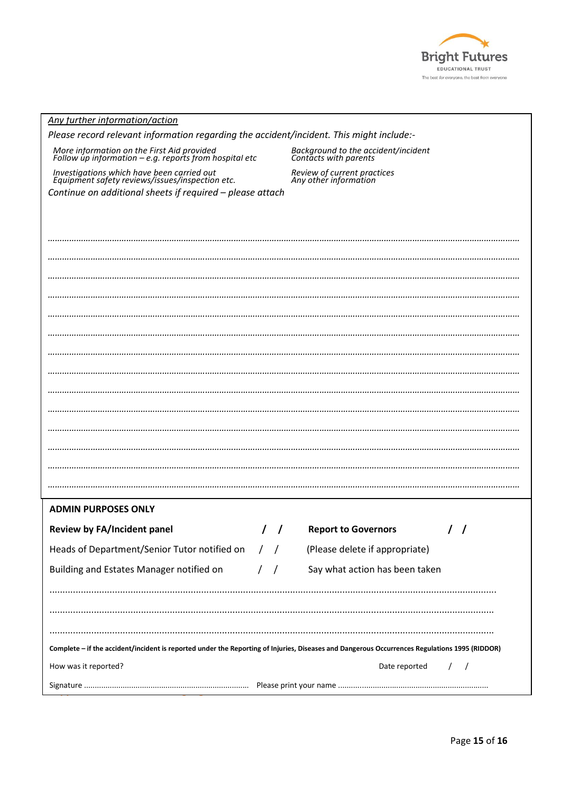

| Any further information/action                                                                                                                |                                                              |  |  |  |  |
|-----------------------------------------------------------------------------------------------------------------------------------------------|--------------------------------------------------------------|--|--|--|--|
| Please record relevant information regarding the accident/incident. This might include:-                                                      |                                                              |  |  |  |  |
| More information on the First Aid provided<br>Follow up information – e.g. reports from hospital etc                                          | Background to the accident/incident<br>Contacts with parents |  |  |  |  |
| Investigations which have been carried out<br>Equipment safety reviews/issues/inspection etc.                                                 | Review of current practices<br>Any other information         |  |  |  |  |
| Continue on additional sheets if required - please attach                                                                                     |                                                              |  |  |  |  |
|                                                                                                                                               |                                                              |  |  |  |  |
|                                                                                                                                               |                                                              |  |  |  |  |
|                                                                                                                                               |                                                              |  |  |  |  |
|                                                                                                                                               |                                                              |  |  |  |  |
|                                                                                                                                               |                                                              |  |  |  |  |
|                                                                                                                                               |                                                              |  |  |  |  |
|                                                                                                                                               |                                                              |  |  |  |  |
|                                                                                                                                               |                                                              |  |  |  |  |
|                                                                                                                                               |                                                              |  |  |  |  |
|                                                                                                                                               |                                                              |  |  |  |  |
|                                                                                                                                               |                                                              |  |  |  |  |
|                                                                                                                                               |                                                              |  |  |  |  |
|                                                                                                                                               |                                                              |  |  |  |  |
|                                                                                                                                               |                                                              |  |  |  |  |
|                                                                                                                                               |                                                              |  |  |  |  |
|                                                                                                                                               |                                                              |  |  |  |  |
|                                                                                                                                               |                                                              |  |  |  |  |
| <b>ADMIN PURPOSES ONLY</b>                                                                                                                    |                                                              |  |  |  |  |
| <b>Review by FA/Incident panel</b>                                                                                                            | <b>Report to Governors</b>                                   |  |  |  |  |
| Heads of Department/Senior Tutor notified on / /                                                                                              | (Please delete if appropriate)                               |  |  |  |  |
| Building and Estates Manager notified on<br>$\left  \right $                                                                                  | Say what action has been taken                               |  |  |  |  |
|                                                                                                                                               |                                                              |  |  |  |  |
|                                                                                                                                               |                                                              |  |  |  |  |
|                                                                                                                                               |                                                              |  |  |  |  |
|                                                                                                                                               |                                                              |  |  |  |  |
| Complete - if the accident/incident is reported under the Reporting of Injuries, Diseases and Dangerous Occurrences Regulations 1995 (RIDDOR) |                                                              |  |  |  |  |
| How was it reported?                                                                                                                          | Date reported<br>$\prime$                                    |  |  |  |  |
|                                                                                                                                               |                                                              |  |  |  |  |